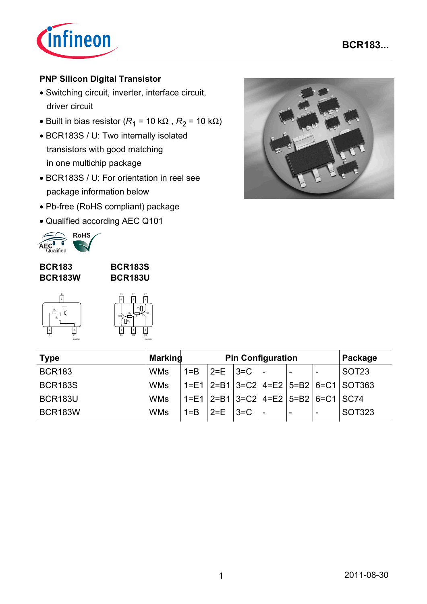

## **PNP Silicon Digital Transistor**

- Switching circuit, inverter, interface circuit, driver circuit
- Built in bias resistor ( $R_1$  = 10 k $\Omega$ ,  $R_2$  = 10 k $\Omega$ )
- BCR183S / U: Two internally isolated transistors with good matching in one multichip package
- BCR183S / U: For orientation in reel see package information below
- Pb-free (RoHS compliant) package
- Qualified according AEC Q101



**BCR183 BCR183W**

*R*1

### **BCR183S BCR183U**



EHA07183

| TR1 | Ŕ. | $\overline{R_1}$     | R, |                      |
|-----|----|----------------------|----|----------------------|
| E   |    | $\overline{c}$<br>B1 |    | C <sub>2</sub><br>EH |

EHA07173

TR2

| <b>Type</b>    | <b>Marking</b> | <b>Pin Configuration</b> |                                   |  |                                                  | Package                  |                          |                                                      |
|----------------|----------------|--------------------------|-----------------------------------|--|--------------------------------------------------|--------------------------|--------------------------|------------------------------------------------------|
| <b>BCR183</b>  | <b>WMs</b>     |                          | $1 = B$   $2 = E$   $3 = C$   $-$ |  |                                                  |                          |                          | SOT <sub>23</sub>                                    |
| <b>BCR183S</b> | <b>WMs</b>     |                          |                                   |  |                                                  |                          |                          | $1 = E1$   2=B1   3=C2   4=E2   5=B2   6=C1   SOT363 |
| BCR183U        | <b>WMs</b>     |                          |                                   |  | $1=E1$   2=B1   3=C2   4=E2   5=B2   6=C1   SC74 |                          |                          |                                                      |
| <b>BCR183W</b> | <b>WMs</b>     | $1 = B$                  | $2=E$ $ 3=C$                      |  |                                                  | $\overline{\phantom{a}}$ | $\overline{\phantom{0}}$ | <b>SOT323</b>                                        |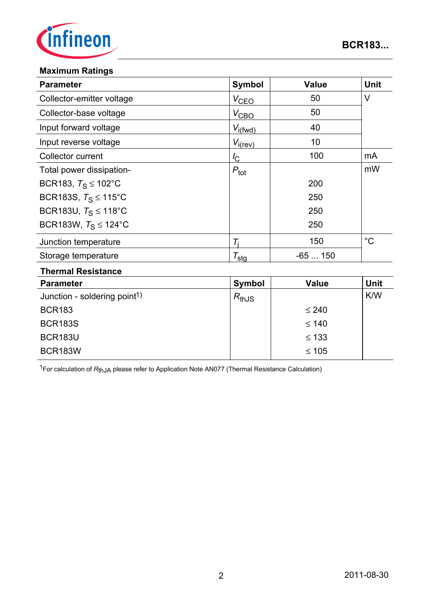

### **Maximum Ratings**

| <b>Parameter</b>                 | <b>Symbol</b>       | <b>Value</b> | <b>Unit</b> |
|----------------------------------|---------------------|--------------|-------------|
| Collector-emitter voltage        | $V_{\text{CEO}}$    | 50           | V           |
| Collector-base voltage           | $V_{\text{CBO}}$    | 50           |             |
| Input forward voltage            | $V_{i(fwd)}$        | 40           |             |
| Input reverse voltage            | $V_{i(rev)}$        | 10           |             |
| Collector current                | $I_{\rm C}$         | 100          | mA          |
| Total power dissipation-         | $P_{\text{tot}}$    |              | mW          |
| BCR183, $T_S \le 102^{\circ}$ C  |                     | 200          |             |
| BCR183S, $T_S \le 115^{\circ}$ C |                     | 250          |             |
| BCR183U, $T_S \le 118^{\circ}$ C |                     | 250          |             |
| BCR183W, $T_S \le 124$ °C        |                     | 250          |             |
| Junction temperature             | $T_{\rm i}$         | 150          | $^{\circ}C$ |
| Storage temperature              | $\tau_{\text{sta}}$ | $-65150$     |             |
|                                  |                     |              |             |

#### **Thermal Resistance**

| <b>Parameter</b>                         | Symbol              | <b>Value</b> | <b>Unit</b> |
|------------------------------------------|---------------------|--------------|-------------|
| Junction - soldering point <sup>1)</sup> | $R_{\mathsf{thJS}}$ |              | K/W         |
| <b>BCR183</b>                            |                     | $\leq 240$   |             |
| <b>BCR183S</b>                           |                     | $\leq 140$   |             |
| <b>BCR183U</b>                           |                     | $\leq 133$   |             |
| <b>BCR183W</b>                           |                     | $\leq 105$   |             |

1For calculation of *R*thJA please refer to Application Note AN077 (Thermal Resistance Calculation)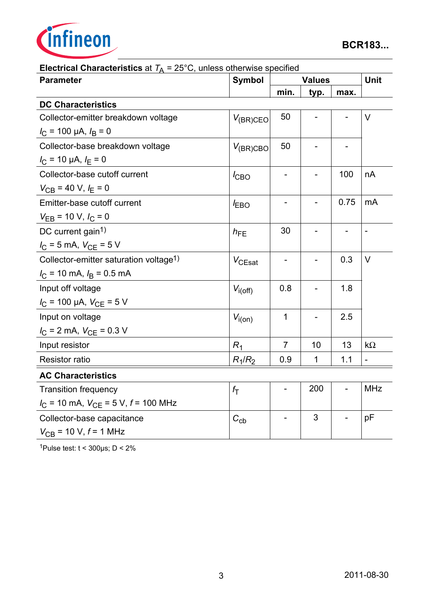

| $\mu$ of the primary property $\mu$ and $\sigma$ and $\sigma$ of the model operation<br><b>Parameter</b> | Symbol        |                          | <b>Values</b> |                          |                |  |
|----------------------------------------------------------------------------------------------------------|---------------|--------------------------|---------------|--------------------------|----------------|--|
|                                                                                                          |               | min.                     | typ.          | max.                     |                |  |
| <b>DC Characteristics</b>                                                                                |               |                          |               |                          |                |  |
| Collector-emitter breakdown voltage                                                                      | $V_{(BR)CEO}$ | 50                       |               |                          | $\vee$         |  |
| $I_{\rm C}$ = 100 µA, $I_{\rm B}$ = 0                                                                    |               |                          |               |                          |                |  |
| Collector-base breakdown voltage                                                                         | $V_{(BR)CBO}$ | 50                       |               |                          |                |  |
| $I_{\rm C}$ = 10 µA, $I_{\rm E}$ = 0                                                                     |               |                          |               |                          |                |  |
| Collector-base cutoff current                                                                            | $I_{CBO}$     |                          |               | 100                      | nA             |  |
| $V_{CB}$ = 40 V, $I_E$ = 0                                                                               |               |                          |               |                          |                |  |
| Emitter-base cutoff current                                                                              | $I_{EBO}$     |                          |               | 0.75                     | mA             |  |
| $V_{EB}$ = 10 V, $I_C$ = 0                                                                               |               |                          |               |                          |                |  |
| DC current gain <sup>1)</sup>                                                                            | $h_{FE}$      | 30                       |               | $\overline{\phantom{a}}$ | $\blacksquare$ |  |
| $I_C = 5$ mA, $V_{CE} = 5$ V                                                                             |               |                          |               |                          |                |  |
| Collector-emitter saturation voltage <sup>1)</sup>                                                       | $V_{CEsat}$   | $\overline{\phantom{0}}$ |               | 0.3                      | $\vee$         |  |
| $I_{\rm C}$ = 10 mA, $I_{\rm B}$ = 0.5 mA                                                                |               |                          |               |                          |                |  |
| Input off voltage                                                                                        | $V_{i(off)}$  | 0.8                      |               | 1.8                      |                |  |
| $I_{\rm C}$ = 100 µA, $V_{\rm CE}$ = 5 V                                                                 |               |                          |               |                          |                |  |
| Input on voltage                                                                                         | $V_{i(on)}$   | 1                        |               | 2.5                      |                |  |
| $I_{\rm C}$ = 2 mA, $V_{\rm CE}$ = 0.3 V                                                                 |               |                          |               |                          |                |  |
| Input resistor                                                                                           | $R_1$         | $\overline{7}$           | 10            | 13                       | $k\Omega$      |  |
| <b>Resistor ratio</b>                                                                                    | $R_1/R_2$     | 0.9                      | $\mathbf 1$   | 1.1                      | $\overline{a}$ |  |
| <b>AC Characteristics</b>                                                                                |               |                          |               |                          |                |  |
| <b>Transition frequency</b>                                                                              | $f_{\rm T}$   | $\overline{a}$           | 200           | $\overline{\phantom{a}}$ | <b>MHz</b>     |  |
| $I_{\text{C}}$ = 10 mA, $V_{\text{CE}}$ = 5 V, $f$ = 100 MHz                                             |               |                          |               |                          |                |  |
| Collector-base capacitance                                                                               | $C_{\rm cb}$  |                          | 3             |                          | pF             |  |
| $V_{CB}$ = 10 V, $f$ = 1 MHz                                                                             |               |                          |               |                          |                |  |

**Electrical Characteristics** at  $T_A = 25^{\circ}$ C, unless otherwise specified

1Pulse test:  $t < 300 \mu s$ ; D < 2%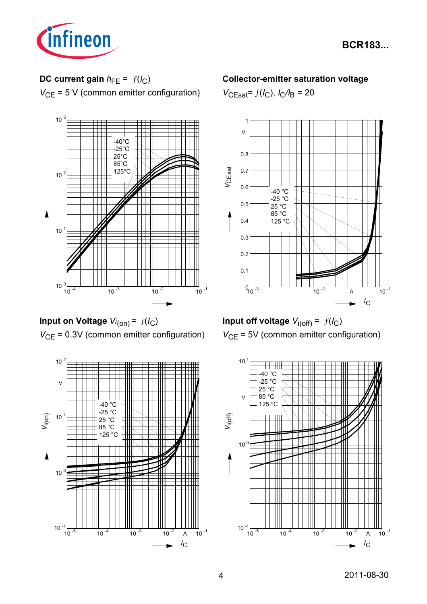

# **DC current gain**  $h_{FE} = f(l_C)$

*V*<sub>CE</sub> = 5 V (common emitter configuration)



**Input on Voltage** *Vi* (on) = ƒ(*I*C) *V*<sub>CE</sub> = 0.3V (common emitter configuration)



### **Collector-emitter saturation voltage**

 $V_{\text{CEsat}} = f(I_C)$ ,  $I_C/I_B = 20$ 





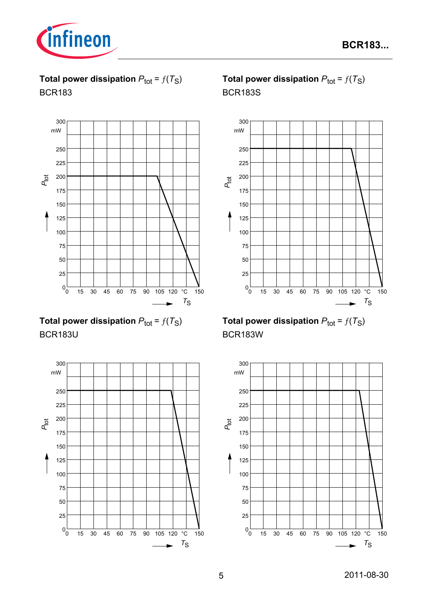

**Total power dissipation**  $P_{\text{tot}} = f(T_S)$ BCR183



**Total power dissipation**  $P_{\text{tot}} = f(T_S)$ BCR183U



# **Total power dissipation**  $P_{\text{tot}} = f(T_S)$ BCR183S



**Total power dissipation**  $P_{\text{tot}} = f(T_S)$ BCR183W

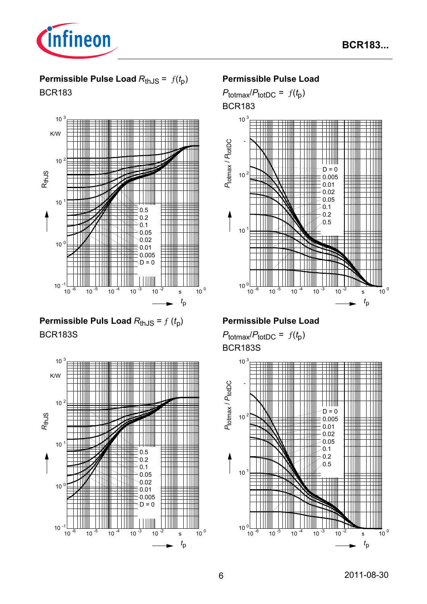

# **Permissible Pulse Load**  $R_{th,JS} = f(t_p)$ BCR183



**Permissible Puls Load**  $R_{th,JS} = f(t_p)$ BCR183S



### **Permissible Pulse Load**

 $P_{\text{totmax}}/P_{\text{totDC}} = f(t_p)$ BCR183



### **Permissible Pulse Load**

 $P_{\text{totmax}}/P_{\text{totDC}} = f(t_p)$ BCR183S

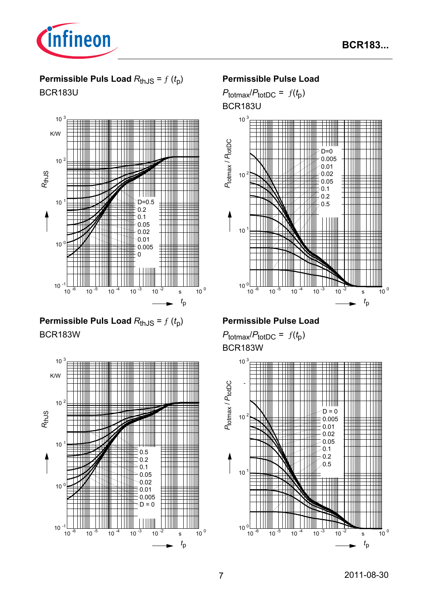

# **Permissible Puls Load**  $R_{thJS} = f(t_p)$

BCR183U



**Permissible Puls Load**  $R_{th,JS} = f(t_p)$ BCR183W



### **Permissible Pulse Load**

 $P_{\text{totmax}}/P_{\text{totDC}} = f(t_p)$ 





## **Permissible Pulse Load**

 $P_{\text{totmax}}/P_{\text{totDC}} = f(t_p)$ BCR183W

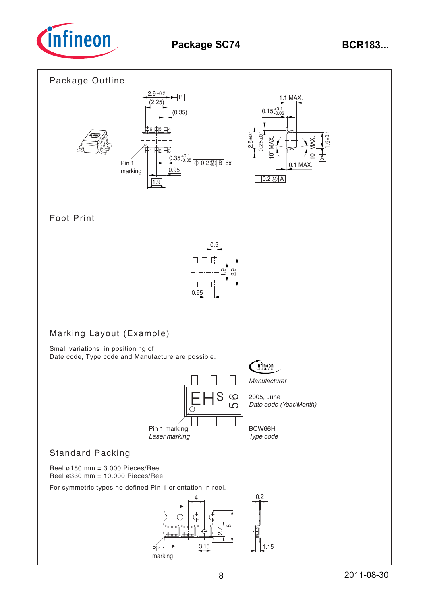

### Package Outline



### Foot Print



## Marking Layout (Example)

Small variations in positioning of Date code, Type code and Manufacture are possible.



### Standard Packing

Reel ø180 mm = 3.000 Pieces/Reel Reel ø330 mm = 10.000 Pieces/Reel

For symmetric types no defined Pin 1 orientation in reel.

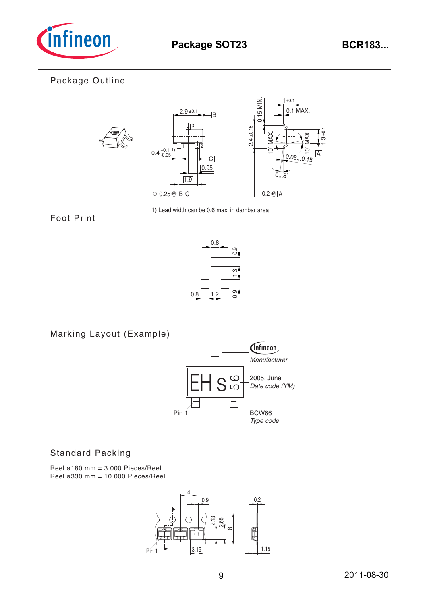

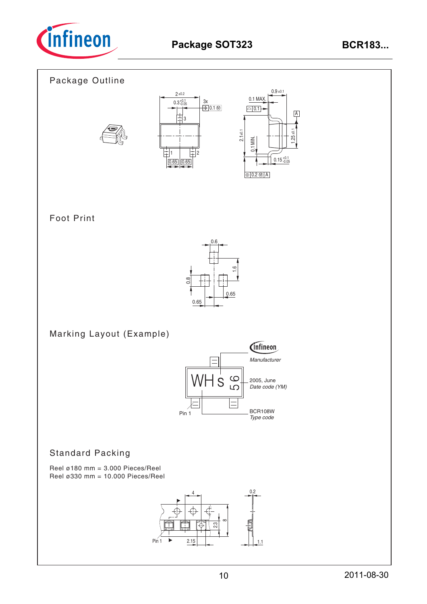

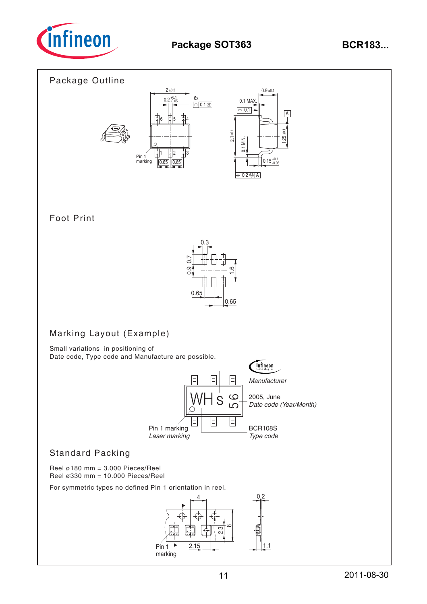